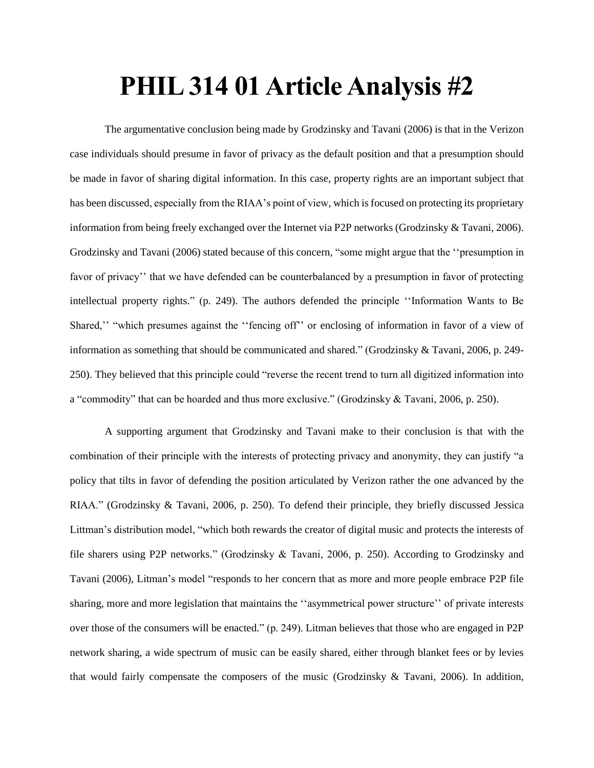## **PHIL 314 01 Article Analysis #2**

The argumentative conclusion being made by Grodzinsky and Tavani (2006) is that in the Verizon case individuals should presume in favor of privacy as the default position and that a presumption should be made in favor of sharing digital information. In this case, property rights are an important subject that has been discussed, especially from the RIAA's point of view, which is focused on protecting its proprietary information from being freely exchanged over the Internet via P2P networks (Grodzinsky & Tavani, 2006). Grodzinsky and Tavani (2006) stated because of this concern, "some might argue that the ''presumption in favor of privacy'' that we have defended can be counterbalanced by a presumption in favor of protecting intellectual property rights." (p. 249). The authors defended the principle ''Information Wants to Be Shared,'' "which presumes against the ''fencing off'' or enclosing of information in favor of a view of information as something that should be communicated and shared." (Grodzinsky & Tavani, 2006, p. 249- 250). They believed that this principle could "reverse the recent trend to turn all digitized information into a "commodity" that can be hoarded and thus more exclusive." (Grodzinsky & Tavani, 2006, p. 250).

A supporting argument that Grodzinsky and Tavani make to their conclusion is that with the combination of their principle with the interests of protecting privacy and anonymity, they can justify "a policy that tilts in favor of defending the position articulated by Verizon rather the one advanced by the RIAA." (Grodzinsky & Tavani, 2006, p. 250). To defend their principle, they briefly discussed Jessica Littman's distribution model, "which both rewards the creator of digital music and protects the interests of file sharers using P2P networks." (Grodzinsky & Tavani, 2006, p. 250). According to Grodzinsky and Tavani (2006), Litman's model "responds to her concern that as more and more people embrace P2P file sharing, more and more legislation that maintains the ''asymmetrical power structure'' of private interests over those of the consumers will be enacted." (p. 249). Litman believes that those who are engaged in P2P network sharing, a wide spectrum of music can be easily shared, either through blanket fees or by levies that would fairly compensate the composers of the music (Grodzinsky & Tavani, 2006). In addition,